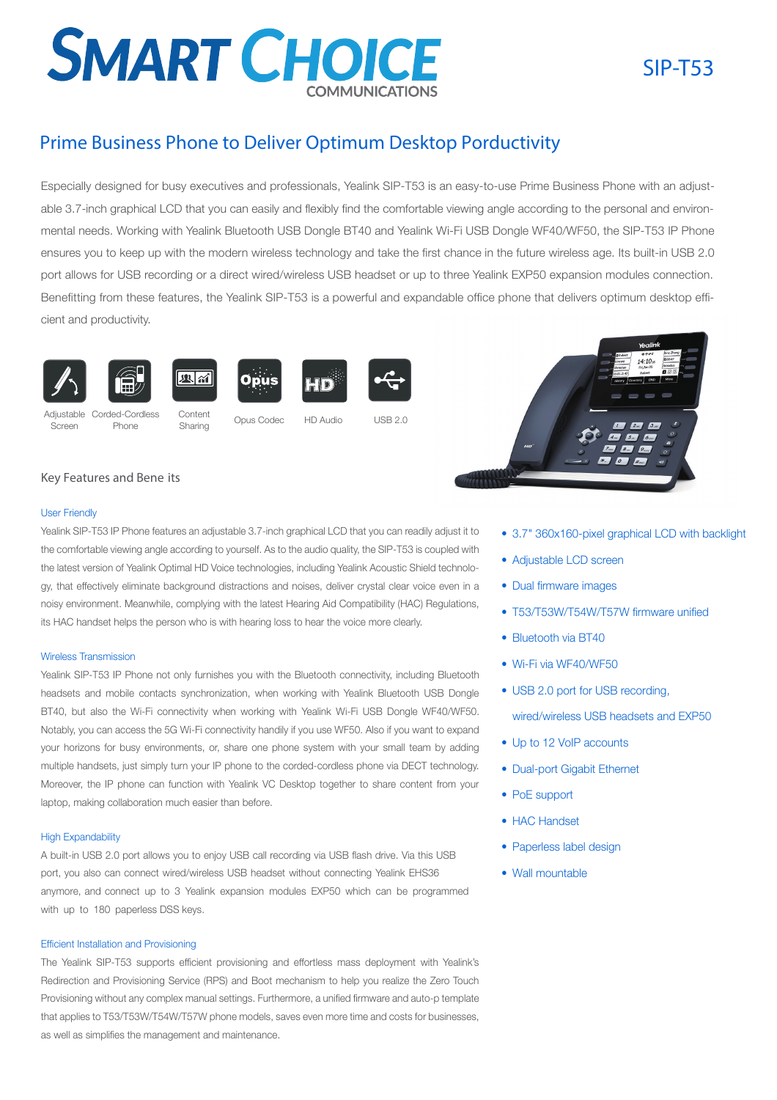# **SMART CHOICE**

## SIP-T53

### Prime Business Phone to Deliver Optimum Desktop Porductivity

Especially designed for busy executives and professionals, Yealink SIP-T53 is an easy-to-use Prime Business Phone with an adjustable 3.7-inch graphical LCD that you can easily and flexibly find the comfortable viewing angle according to the personal and environmental needs. Working with Yealink Bluetooth USB Dongle BT40 and Yealink Wi-Fi USB Dongle WF40/WF50, the SIP-T53 IP Phone ensures you to keep up with the modern wireless technology and take the first chance in the future wireless age. Its built-in USB 2.0 port allows for USB recording or a direct wired/wireless USB headset or up to three Yealink EXP50 expansion modules connection. Benefitting from these features, the Yealink SIP-T53 is a powerful and expandable office phone that delivers optimum desktop efficient and productivity.



Screen









Phone

Adjustable Corded-Cordless Content<br>Corean Dhana Sharing Opus-Codec

Sharing







HD Audio

 $IISB20$ 



#### Key Features and Bene its

#### User Friendly

Yealink SIP-T53 IP Phone features an adjustable 3.7-inch graphical LCD that you can readily adjust it to the comfortable viewing angle according to yourself. As to the audio quality, the SIP-T53 is coupled with the latest version of Yealink Optimal HD Voice technologies, including Yealink Acoustic Shield technology, that effectively eliminate background distractions and noises, deliver crystal clear voice even in a noisy environment. Meanwhile, complying with the latest Hearing Aid Compatibility (HAC) Regulations, its HAC handset helps the person who is with hearing loss to hear the voice more clearly.

#### Wireless Transmission

Yealink SIP-T53 IP Phone not only furnishes you with the Bluetooth connectivity, including Bluetooth headsets and mobile contacts synchronization, when working with Yealink Bluetooth USB Dongle BT40, but also the Wi-Fi connectivity when working with Yealink Wi-Fi USB Dongle WF40/WF50. Notably, you can access the 5G Wi-Fi connectivity handily if you use WF50. Also if you want to expand your horizons for busy environments, or, share one phone system with your small team by adding multiple handsets, just simply turn your IP phone to the corded-cordless phone via DECT technology. Moreover, the IP phone can function with Yealink VC Desktop together to share content from your laptop, making collaboration much easier than before.

#### High Expandability

A built-in USB 2.0 port allows you to enjoy USB call recording via USB flash drive. Via this USB port, you also can connect wired/wireless USB headset without connecting Yealink EHS36 anymore, and connect up to 3 Yealink expansion modules EXP50 which can be programmed with up to 180 paperless DSS keys.

#### Efficient Installation and Provisioning

The Yealink SIP-T53 supports efficient provisioning and effortless mass deployment with Yealink's Redirection and Provisioning Service (RPS) and Boot mechanism to help you realize the Zero Touch Provisioning without any complex manual settings. Furthermore, a unified firmware and auto-p template that applies to T53/T53W/T54W/T57W phone models, saves even more time and costs for businesses, as well as simplifies the management and maintenance.

- 3.7" 360x160-pixel graphical LCD with backlight
- Adjustable LCD screen
- Dual firmware images
- T53/T53W/T54W/T57W firmware unified
- Bluetooth via BT40
- Wi-Fi via WF40/WF50
- USB 2.0 port for USB recording,

wired/wireless USB headsets and EXP50

- Up to 12 VoIP accounts
- Dual-port Gigabit Ethernet
- PoE support
- HAC Handset
- Paperless label design
- Wall mountable